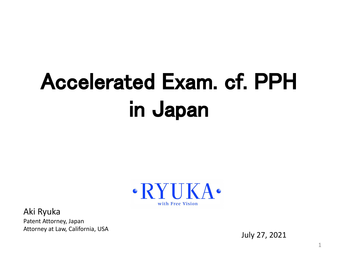# Accelerated Exam. cf. PPH in Japan



Aki Ryuka Patent Attorney, Japan Attorney at Law, California, USA

July 27, 2021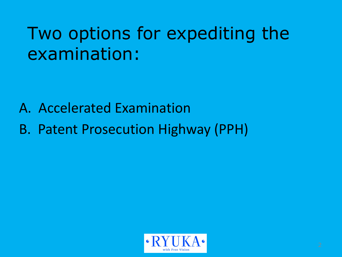#### Two options for expediting the examination:

- A. Accelerated Examination
- B. Patent Prosecution Highway (PPH)

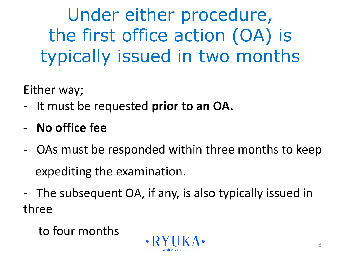Under either procedure, the first office action (OA) is typically issued in two months

Either way;

- It must be requested **prior to an OA.**
- **No office fee**
- OAs must be responded within three months to keep expediting the examination.
- The subsequent OA, if any, is also typically issued in three

to four months

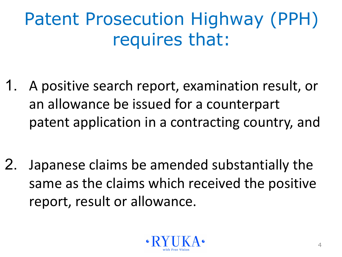## Patent Prosecution Highway (PPH) requires that:

- 1. A positive search report, examination result, or an allowance be issued for a counterpart patent application in a contracting country, and
- 2. Japanese claims be amended substantially the same as the claims which received the positive report, result or allowance.

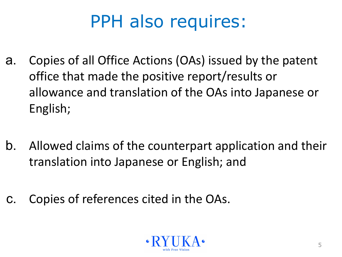#### PPH also requires:

- a. Copies of all Office Actions (OAs) issued by the patent office that made the positive report/results or allowance and translation of the OAs into Japanese or English;
- b. Allowed claims of the counterpart application and their translation into Japanese or English; and
- c. Copies of references cited in the OAs.

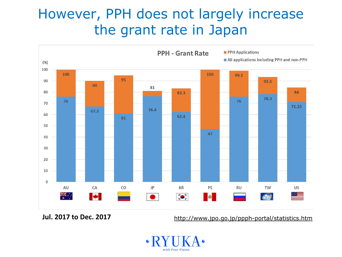#### However, PPH does not largely increase the grant rate in Japan



**Jul. 2017 to Dec. 2017** <http://www.jpo.go.jp/ppph-portal/statistics.htm>

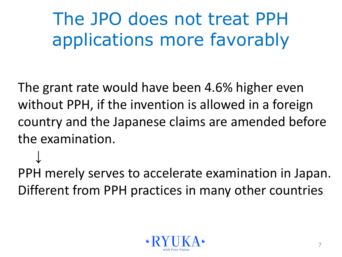### The JPO does not treat PPH applications more favorably

The grant rate would have been 4.6% higher even without PPH, if the invention is allowed in a foreign country and the Japanese claims are amended before the examination.

↓ PPH merely serves to accelerate examination in Japan. Different from PPH practices in many other countries

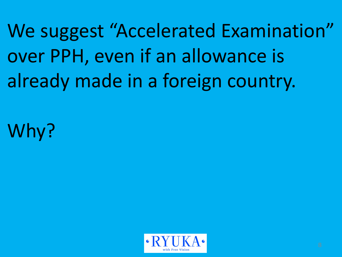We suggest "Accelerated Examination" over PPH, even if an allowance is already made in a foreign country.

Why?

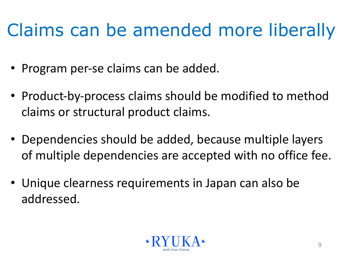## Claims can be amended more liberally

- Program per-se claims can be added.
- Product-by-process claims should be modified to method claims or structural product claims.
- Dependencies should be added, because multiple layers of multiple dependencies are accepted with no office fee.
- Unique clearness requirements in Japan can also be addressed.

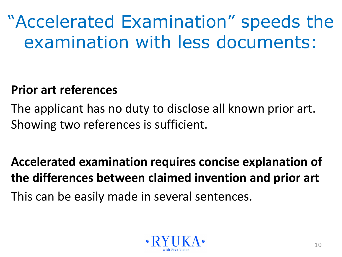## "Accelerated Examination" speeds the examination with less documents:

#### **Prior art references**

The applicant has no duty to disclose all known prior art. Showing two references is sufficient.

#### **Accelerated examination requires concise explanation of the differences between claimed invention and prior art** This can be easily made in several sentences.

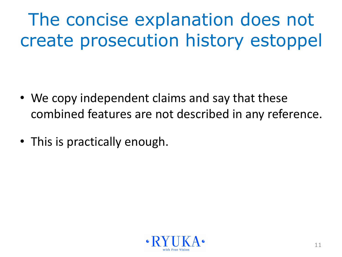The concise explanation does not create prosecution history estoppel

- We copy independent claims and say that these combined features are not described in any reference.
- This is practically enough.

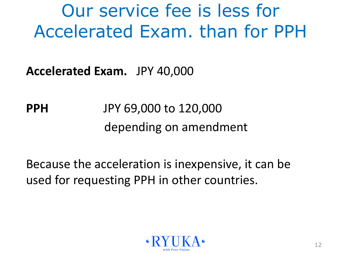#### Our service fee is less for Accelerated Exam. than for PPH

**Accelerated Exam.** JPY 40,000

**PPH** JPY 69,000 to 120,000 depending on amendment

Because the acceleration is inexpensive, it can be used for requesting PPH in other countries.